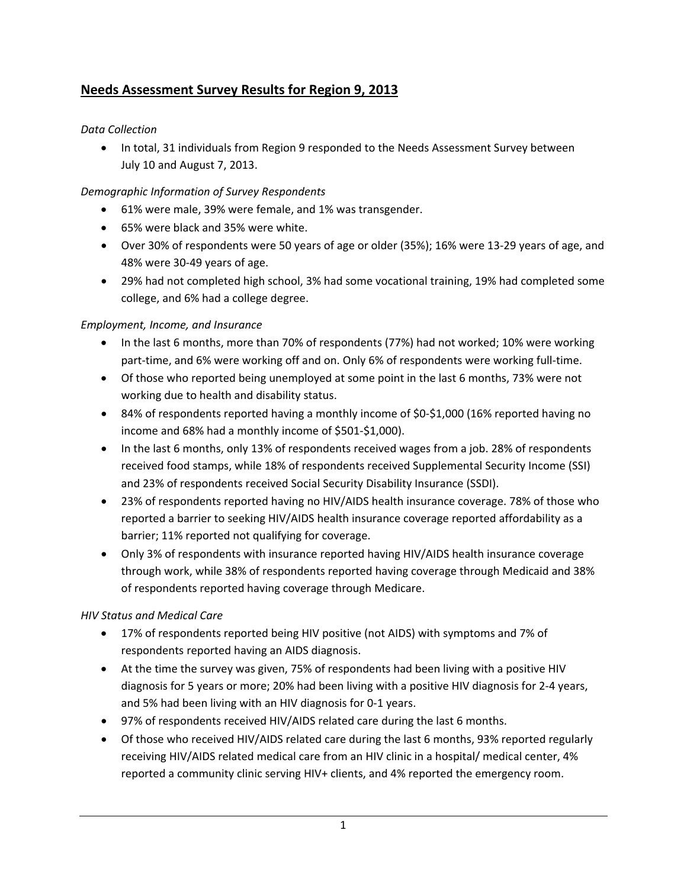# **Needs Assessment Survey Results for Region 9, 2013**

#### *Data Collection*

• In total, 31 individuals from Region 9 responded to the Needs Assessment Survey between July 10 and August 7, 2013.

## *Demographic Information of Survey Respondents*

- 61% were male, 39% were female, and 1% was transgender.
- 65% were black and 35% were white.
- Over 30% of respondents were 50 years of age or older (35%); 16% were 13‐29 years of age, and 48% were 30‐49 years of age.
- 29% had not completed high school, 3% had some vocational training, 19% had completed some college, and 6% had a college degree.

## *Employment, Income, and Insurance*

- In the last 6 months, more than 70% of respondents (77%) had not worked; 10% were working part-time, and 6% were working off and on. Only 6% of respondents were working full-time.
- Of those who reported being unemployed at some point in the last 6 months, 73% were not working due to health and disability status.
- 84% of respondents reported having a monthly income of \$0‐\$1,000 (16% reported having no income and 68% had a monthly income of \$501‐\$1,000).
- In the last 6 months, only 13% of respondents received wages from a job. 28% of respondents received food stamps, while 18% of respondents received Supplemental Security Income (SSI) and 23% of respondents received Social Security Disability Insurance (SSDI).
- 23% of respondents reported having no HIV/AIDS health insurance coverage. 78% of those who reported a barrier to seeking HIV/AIDS health insurance coverage reported affordability as a barrier; 11% reported not qualifying for coverage.
- Only 3% of respondents with insurance reported having HIV/AIDS health insurance coverage through work, while 38% of respondents reported having coverage through Medicaid and 38% of respondents reported having coverage through Medicare.

#### *HIV Status and Medical Care*

- 17% of respondents reported being HIV positive (not AIDS) with symptoms and 7% of respondents reported having an AIDS diagnosis.
- At the time the survey was given, 75% of respondents had been living with a positive HIV diagnosis for 5 years or more; 20% had been living with a positive HIV diagnosis for 2‐4 years, and 5% had been living with an HIV diagnosis for 0‐1 years.
- 97% of respondents received HIV/AIDS related care during the last 6 months.
- Of those who received HIV/AIDS related care during the last 6 months, 93% reported regularly receiving HIV/AIDS related medical care from an HIV clinic in a hospital/ medical center, 4% reported a community clinic serving HIV+ clients, and 4% reported the emergency room.